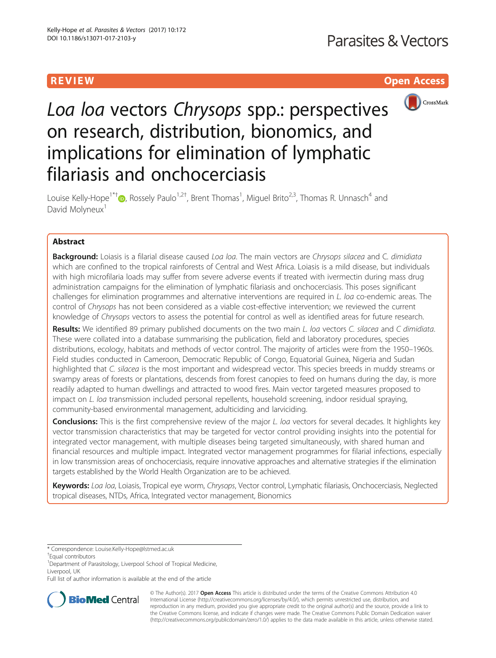**REVIEW CONSIDERING CONSIDERING CONSIDERING CONSIDERING CONSIDERING CONSIDERING CONSIDERING CONSIDERING CONSIDERING CONSIDERING CONSIDERING CONSIDERING CONSIDERING CONSIDERING CONSIDERING CONSIDERING CONSIDERING CONSIDER** 



# Loa loa vectors Chrysops spp.: perspectives on research, distribution, bionomics, and implications for elimination of lymphatic filariasis and onchocerciasis

Louise Kelly-Hope<sup>1\*†</sup>®[,](http://orcid.org/0000-0002-3330-7629) Rossely Paulo<sup>1,2†</sup>, Brent Thomas<sup>1</sup>, Miguel Brito<sup>2,3</sup>, Thomas R. Unnasch<sup>4</sup> and David Molyneux<sup>1</sup>

# Abstract

Background: Loiasis is a filarial disease caused Loa loa. The main vectors are Chrysops silacea and C. dimidiata which are confined to the tropical rainforests of Central and West Africa. Loiasis is a mild disease, but individuals with high microfilaria loads may suffer from severe adverse events if treated with ivermectin during mass drug administration campaigns for the elimination of lymphatic filariasis and onchocerciasis. This poses significant challenges for elimination programmes and alternative interventions are required in L. loa co-endemic areas. The control of Chrysops has not been considered as a viable cost-effective intervention; we reviewed the current knowledge of Chrysops vectors to assess the potential for control as well as identified areas for future research.

Results: We identified 89 primary published documents on the two main L. loa vectors C. silacea and C dimidiata. These were collated into a database summarising the publication, field and laboratory procedures, species distributions, ecology, habitats and methods of vector control. The majority of articles were from the 1950–1960s. Field studies conducted in Cameroon, Democratic Republic of Congo, Equatorial Guinea, Nigeria and Sudan highlighted that C. silacea is the most important and widespread vector. This species breeds in muddy streams or swampy areas of forests or plantations, descends from forest canopies to feed on humans during the day, is more readily adapted to human dwellings and attracted to wood fires. Main vector targeted measures proposed to impact on L. loa transmission included personal repellents, household screening, indoor residual spraying, community-based environmental management, adulticiding and larviciding.

Conclusions: This is the first comprehensive review of the major L. loa vectors for several decades. It highlights key vector transmission characteristics that may be targeted for vector control providing insights into the potential for integrated vector management, with multiple diseases being targeted simultaneously, with shared human and financial resources and multiple impact. Integrated vector management programmes for filarial infections, especially in low transmission areas of onchocerciasis, require innovative approaches and alternative strategies if the elimination targets established by the World Health Organization are to be achieved.

Keywords: Loa loa, Loiasis, Tropical eye worm, Chrysops, Vector control, Lymphatic filariasis, Onchocerciasis, Neglected tropical diseases, NTDs, Africa, Integrated vector management, Bionomics

\* Correspondence: [Louise.Kelly-Hope@lstmed.ac.uk](mailto:Louise.Kelly-Hope@lstmed.ac.uk) †

Equal contributors

Full list of author information is available at the end of the article



© The Author(s). 2017 **Open Access** This article is distributed under the terms of the Creative Commons Attribution 4.0 International License [\(http://creativecommons.org/licenses/by/4.0/](http://creativecommons.org/licenses/by/4.0/)), which permits unrestricted use, distribution, and reproduction in any medium, provided you give appropriate credit to the original author(s) and the source, provide a link to the Creative Commons license, and indicate if changes were made. The Creative Commons Public Domain Dedication waiver [\(http://creativecommons.org/publicdomain/zero/1.0/](http://creativecommons.org/publicdomain/zero/1.0/)) applies to the data made available in this article, unless otherwise stated.

<sup>&</sup>lt;sup>1</sup> Department of Parasitology, Liverpool School of Tropical Medicine, Liverpool, UK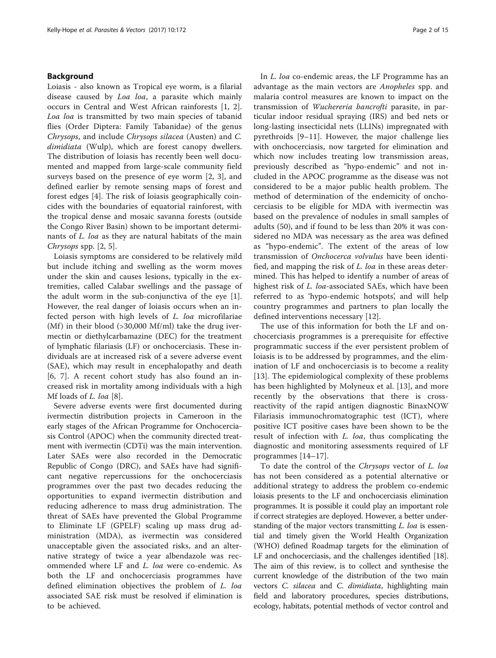# Background

Loiasis - also known as Tropical eye worm, is a filarial disease caused by *Loa loa*, a parasite which mainly occurs in Central and West African rainforests [[1, 2](#page-11-0)]. Loa loa is transmitted by two main species of tabanid flies (Order Diptera: Family Tabanidae) of the genus Chrysops, and include Chrysops silacea (Austen) and C. dimidiata (Wulp), which are forest canopy dwellers. The distribution of loiasis has recently been well documented and mapped from large-scale community field surveys based on the presence of eye worm [\[2](#page-11-0), [3](#page-11-0)], and defined earlier by remote sensing maps of forest and forest edges [\[4](#page-11-0)]. The risk of loiasis geographically coincides with the boundaries of equatorial rainforest, with the tropical dense and mosaic savanna forests (outside the Congo River Basin) shown to be important determinants of *L. loa* as they are natural habitats of the main Chrysops spp. [[2, 5](#page-11-0)].

Loiasis symptoms are considered to be relatively mild but include itching and swelling as the worm moves under the skin and causes lesions, typically in the extremities, called Calabar swellings and the passage of the adult worm in the sub-conjunctiva of the eye [\[1](#page-11-0)]. However, the real danger of loiasis occurs when an infected person with high levels of L. loa microfilariae (Mf) in their blood  $(>30,000 \text{ Mf/ml})$  take the drug ivermectin or diethylcarbamazine (DEC) for the treatment of lymphatic filariasis (LF) or onchocerciasis. These individuals are at increased risk of a severe adverse event (SAE), which may result in encephalopathy and death [[6,](#page-11-0) [7\]](#page-12-0). A recent cohort study has also found an increased risk in mortality among individuals with a high Mf loads of L. loa [[8\]](#page-12-0).

Severe adverse events were first documented during ivermectin distribution projects in Cameroon in the early stages of the African Programme for Onchocerciasis Control (APOC) when the community directed treatment with ivermectin (CDTi) was the main intervention. Later SAEs were also recorded in the Democratic Republic of Congo (DRC), and SAEs have had significant negative repercussions for the onchocerciasis programmes over the past two decades reducing the opportunities to expand ivermectin distribution and reducing adherence to mass drug administration. The threat of SAEs have prevented the Global Programme to Eliminate LF (GPELF) scaling up mass drug administration (MDA), as ivermectin was considered unacceptable given the associated risks, and an alternative strategy of twice a year albendazole was recommended where LF and L. loa were co-endemic. As both the LF and onchocerciasis programmes have defined elimination objectives the problem of L. loa associated SAE risk must be resolved if elimination is to be achieved.

In L. loa co-endemic areas, the LF Programme has an advantage as the main vectors are Anopheles spp. and malaria control measures are known to impact on the transmission of Wuchereria bancrofti parasite, in particular indoor residual spraying (IRS) and bed nets or long-lasting insecticidal nets (LLINs) impregnated with pyrethroids [\[9](#page-12-0)–[11](#page-12-0)]. However, the major challenge lies with onchocerciasis, now targeted for elimination and which now includes treating low transmission areas, previously described as "hypo-endemic" and not included in the APOC programme as the disease was not considered to be a major public health problem. The method of determination of the endemicity of onchocerciasis to be eligible for MDA with ivermectin was based on the prevalence of nodules in small samples of adults (50), and if found to be less than 20% it was considered no MDA was necessary as the area was defined as "hypo-endemic". The extent of the areas of low transmission of Onchocerca volvulus have been identified, and mapping the risk of L. loa in these areas determined. This has helped to identify a number of areas of highest risk of L. loa-associated SAEs, which have been referred to as 'hypo-endemic hotspots', and will help country programmes and partners to plan locally the defined interventions necessary [\[12](#page-12-0)].

The use of this information for both the LF and onchocerciasis programmes is a prerequisite for effective programmatic success if the ever persistent problem of loiasis is to be addressed by programmes, and the elimination of LF and onchocerciasis is to become a reality [[13](#page-12-0)]. The epidemiological complexity of these problems has been highlighted by Molyneux et al. [[13\]](#page-12-0), and more recently by the observations that there is crossreactivity of the rapid antigen diagnostic BinaxNOW Filariasis immunochromatographic test (ICT), where positive ICT positive cases have been shown to be the result of infection with *L. loa*, thus complicating the diagnostic and monitoring assessments required of LF programmes [\[14](#page-12-0)–[17](#page-12-0)].

To date the control of the Chrysops vector of L. loa has not been considered as a potential alternative or additional strategy to address the problem co-endemic loiasis presents to the LF and onchocerciasis elimination programmes. It is possible it could play an important role if correct strategies are deployed. However, a better understanding of the major vectors transmitting L. loa is essential and timely given the World Health Organization (WHO) defined Roadmap targets for the elimination of LF and onchocerciasis, and the challenges identified [[18](#page-12-0)]. The aim of this review, is to collect and synthesise the current knowledge of the distribution of the two main vectors C. silacea and C. dimidiata, highlighting main field and laboratory procedures, species distributions, ecology, habitats, potential methods of vector control and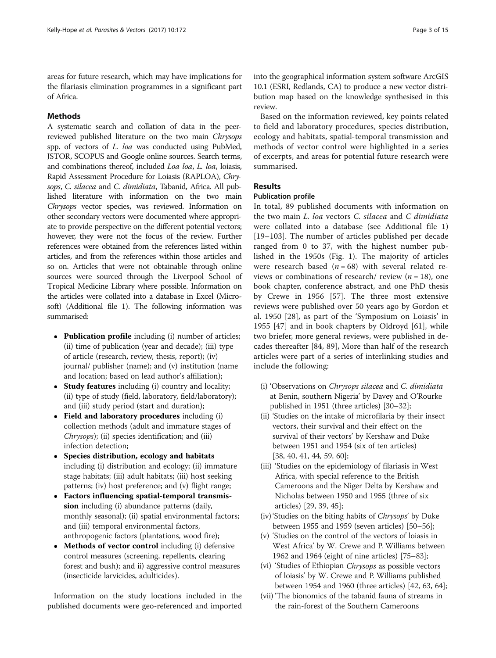areas for future research, which may have implications for the filariasis elimination programmes in a significant part of Africa.

# **Methods**

A systematic search and collation of data in the peerreviewed published literature on the two main Chrysops spp. of vectors of L. loa was conducted using PubMed, JSTOR, SCOPUS and Google online sources. Search terms, and combinations thereof, included Loa loa, L. loa, loiasis, Rapid Assessment Procedure for Loiasis (RAPLOA), Chrysops, C. silacea and C. dimidiata, Tabanid, Africa. All published literature with information on the two main Chrysops vector species, was reviewed. Information on other secondary vectors were documented where appropriate to provide perspective on the different potential vectors; however, they were not the focus of the review. Further references were obtained from the references listed within articles, and from the references within those articles and so on. Articles that were not obtainable through online sources were sourced through the Liverpool School of Tropical Medicine Library where possible. Information on the articles were collated into a database in Excel (Microsoft) (Additional file [1\)](#page-11-0). The following information was summarised:

- Publication profile including (i) number of articles; (ii) time of publication (year and decade); (iii) type of article (research, review, thesis, report); (iv) journal/ publisher (name); and (v) institution (name and location; based on lead author's affiliation);
- Study features including (i) country and locality; (ii) type of study (field, laboratory, field/laboratory); and (iii) study period (start and duration);
- Field and laboratory procedures including (i) collection methods (adult and immature stages of Chrysops); (ii) species identification; and (iii) infection detection;
- Species distribution, ecology and habitats including (i) distribution and ecology; (ii) immature stage habitats; (iii) adult habitats; (iii) host seeking patterns; (iv) host preference; and (v) flight range;
- Factors influencing spatial-temporal transmission including (i) abundance patterns (daily, monthly seasonal); (ii) spatial environmental factors; and (iii) temporal environmental factors, anthropogenic factors (plantations, wood fire);
- Methods of vector control including (i) defensive control measures (screening, repellents, clearing forest and bush); and ii) aggressive control measures (insecticide larvicides, adulticides).

Information on the study locations included in the published documents were geo-referenced and imported

into the geographical information system software ArcGIS 10.1 (ESRI, Redlands, CA) to produce a new vector distribution map based on the knowledge synthesised in this review.

Based on the information reviewed, key points related to field and laboratory procedures, species distribution, ecology and habitats, spatial-temporal transmission and methods of vector control were highlighted in a series of excerpts, and areas for potential future research were summarised.

# Results

# Publication profile

In total, 89 published documents with information on the two main L. loa vectors C. silacea and C dimidiata were collated into a database (see Additional file [1](#page-11-0)) [[19](#page-12-0)–[103](#page-14-0)]. The number of articles published per decade ranged from 0 to 37, with the highest number published in the 1950s (Fig. [1](#page-3-0)). The majority of articles were research based  $(n = 68)$  with several related reviews or combinations of research/ review  $(n = 18)$ , one book chapter, conference abstract, and one PhD thesis by Crewe in 1956 [\[57](#page-13-0)]. The three most extensive reviews were published over 50 years ago by Gordon et al. 1950 [\[28](#page-12-0)], as part of the 'Symposium on Loiasis' in 1955 [[47\]](#page-12-0) and in book chapters by Oldroyd [\[61](#page-13-0)], while two briefer, more general reviews, were published in decades thereafter [[84, 89](#page-13-0)], More than half of the research articles were part of a series of interlinking studies and include the following:

- (i) 'Observations on Chrysops silacea and C. dimidiata at Benin, southern Nigeria' by Davey and O'Rourke published in 1951 (three articles) [\[30](#page-12-0)–[32\]](#page-12-0);
- (ii) 'Studies on the intake of microfilaria by their insect vectors, their survival and their effect on the survival of their vectors' by Kershaw and Duke between 1951 and 1954 (six of ten articles) [\[38](#page-12-0), [40,](#page-12-0) [41](#page-12-0), [44](#page-12-0), [59,](#page-13-0) [60\]](#page-13-0);
- (iii) 'Studies on the epidemiology of filariasis in West Africa, with special reference to the British Cameroons and the Niger Delta by Kershaw and Nicholas between 1950 and 1955 (three of six articles) [[29,](#page-12-0) [39](#page-12-0), [45\]](#page-12-0);
- (iv)'Studies on the biting habits of Chrysops' by Duke between 1955 and 1959 (seven articles) [\[50](#page-12-0)–[56\]](#page-13-0);
- (v) 'Studies on the control of the vectors of loiasis in West Africa' by W. Crewe and P. Williams between 1962 and 1964 (eight of nine articles) [\[75](#page-13-0)–[83](#page-13-0)];
- (vi) 'Studies of Ethiopian Chrysops as possible vectors of loiasis' by W. Crewe and P. Williams published between 1954 and 1960 (three articles) [[42,](#page-12-0) [63](#page-13-0), [64\]](#page-13-0);
- (vii) 'The bionomics of the tabanid fauna of streams in the rain-forest of the Southern Cameroons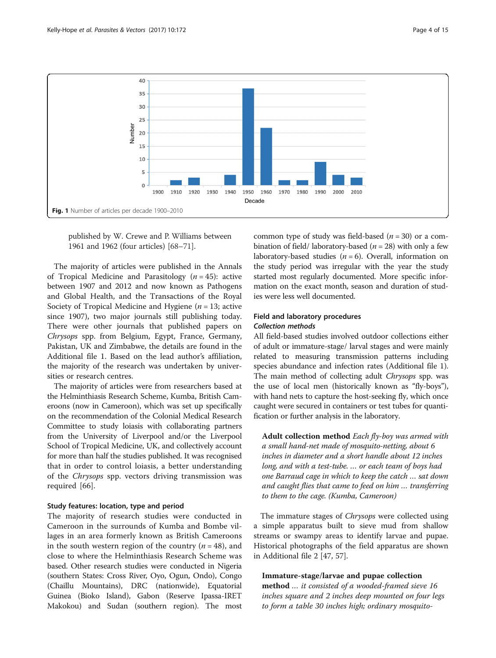<span id="page-3-0"></span>

published by W. Crewe and P. Williams between 1961 and 1962 (four articles) [[68](#page-13-0)–[71\]](#page-13-0).

The majority of articles were published in the Annals of Tropical Medicine and Parasitology ( $n = 45$ ): active between 1907 and 2012 and now known as Pathogens and Global Health, and the Transactions of the Royal Society of Tropical Medicine and Hygiene ( $n = 13$ ; active since 1907), two major journals still publishing today. There were other journals that published papers on Chrysops spp. from Belgium, Egypt, France, Germany, Pakistan, UK and Zimbabwe, the details are found in the Additional file [1.](#page-11-0) Based on the lead author's affiliation, the majority of the research was undertaken by universities or research centres.

The majority of articles were from researchers based at the Helminthiasis Research Scheme, Kumba, British Cameroons (now in Cameroon), which was set up specifically on the recommendation of the Colonial Medical Research Committee to study loiasis with collaborating partners from the University of Liverpool and/or the Liverpool School of Tropical Medicine, UK, and collectively account for more than half the studies published. It was recognised that in order to control loiasis, a better understanding of the Chrysops spp. vectors driving transmission was required [[66](#page-13-0)].

# Study features: location, type and period

The majority of research studies were conducted in Cameroon in the surrounds of Kumba and Bombe villages in an area formerly known as British Cameroons in the south western region of the country ( $n = 48$ ), and close to where the Helminthiasis Research Scheme was based. Other research studies were conducted in Nigeria (southern States: Cross River, Oyo, Ogun, Ondo), Congo (Chaillu Mountains), DRC (nationwide), Equatorial Guinea (Bioko Island), Gabon (Reserve Ipassa-IRET Makokou) and Sudan (southern region). The most

common type of study was field-based ( $n = 30$ ) or a combination of field/ laboratory-based ( $n = 28$ ) with only a few laboratory-based studies  $(n = 6)$ . Overall, information on the study period was irregular with the year the study started most regularly documented. More specific information on the exact month, season and duration of studies were less well documented.

# Field and laboratory procedures Collection methods

All field-based studies involved outdoor collections either of adult or immature-stage/ larval stages and were mainly related to measuring transmission patterns including species abundance and infection rates (Additional file [1](#page-11-0)). The main method of collecting adult Chrysops spp. was the use of local men (historically known as "fly-boys"), with hand nets to capture the host-seeking fly, which once caught were secured in containers or test tubes for quantification or further analysis in the laboratory.

Adult collection method Each fly-boy was armed with a small hand-net made of mosquito-netting, about 6 inches in diameter and a short handle about 12 inches long, and with a test-tube. … or each team of boys had one Barraud cage in which to keep the catch … sat down and caught flies that came to feed on him … transferring to them to the cage. (Kumba, Cameroon)

The immature stages of Chrysops were collected using a simple apparatus built to sieve mud from shallow streams or swampy areas to identify larvae and pupae. Historical photographs of the field apparatus are shown in Additional file [2](#page-11-0) [\[47,](#page-12-0) [57\]](#page-13-0).

Immature-stage/larvae and pupae collection

method ... it consisted of a wooded-framed sieve 16 inches square and 2 inches deep mounted on four legs to form a table 30 inches high; ordinary mosquito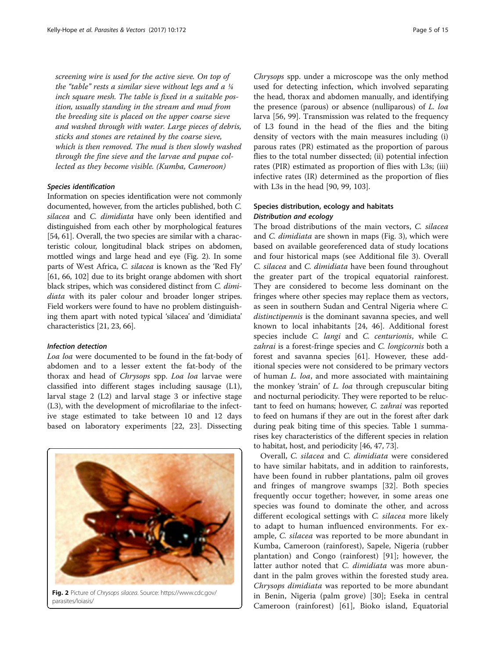screening wire is used for the active sieve. On top of the "table" rests a similar sieve without legs and a  $\frac{1}{4}$ inch square mesh. The table is fixed in a suitable position, usually standing in the stream and mud from the breeding site is placed on the upper coarse sieve and washed through with water. Large pieces of debris, sticks and stones are retained by the coarse sieve, which is then removed. The mud is then slowly washed through the fine sieve and the larvae and pupae collected as they become visible. (Kumba, Cameroon)

# Species identification

Information on species identification were not commonly documented, however, from the articles published, both C. silacea and C. dimidiata have only been identified and distinguished from each other by morphological features [[54](#page-13-0), [61\]](#page-13-0). Overall, the two species are similar with a characteristic colour, longitudinal black stripes on abdomen, mottled wings and large head and eye (Fig. 2). In some parts of West Africa, C. silacea is known as the 'Red Fly' [[61](#page-13-0), [66](#page-13-0), [102\]](#page-14-0) due to its bright orange abdomen with short black stripes, which was considered distinct from C. dimidiata with its paler colour and broader longer stripes. Field workers were found to have no problem distinguishing them apart with noted typical 'silacea' and 'dimidiata' characteristics [\[21, 23](#page-12-0), [66](#page-13-0)].

#### Infection detection

Loa loa were documented to be found in the fat-body of abdomen and to a lesser extent the fat-body of the thorax and head of Chrysops spp. Loa loa larvae were classified into different stages including sausage (L1), larval stage 2 (L2) and larval stage 3 or infective stage (L3), with the development of microfilariae to the infective stage estimated to take between 10 and 12 days based on laboratory experiments [\[22](#page-12-0), [23](#page-12-0)]. Dissecting



Fig. 2 Picture of Chrysops silacea. Source: [https://www.cdc.gov/](https://www.cdc.gov/parasites/loiasis/) [parasites/loiasis/](https://www.cdc.gov/parasites/loiasis/)

Chrysops spp. under a microscope was the only method used for detecting infection, which involved separating the head, thorax and abdomen manually, and identifying the presence (parous) or absence (nulliparous) of L. loa larva [[56,](#page-13-0) [99\]](#page-14-0). Transmission was related to the frequency of L3 found in the head of the flies and the biting density of vectors with the main measures including (i) parous rates (PR) estimated as the proportion of parous flies to the total number dissected; (ii) potential infection rates (PIR) estimated as proportion of flies with L3s; (iii) infective rates (IR) determined as the proportion of flies with L3s in the head [[90,](#page-13-0) [99, 103](#page-14-0)].

# Species distribution, ecology and habitats Distribution and ecology

The broad distributions of the main vectors, C. silacea and C. dimidiata are shown in maps (Fig. [3\)](#page-5-0), which were based on available georeferenced data of study locations and four historical maps (see Additional file [3\)](#page-11-0). Overall C. silacea and C. dimidiata have been found throughout the greater part of the tropical equatorial rainforest. They are considered to become less dominant on the fringes where other species may replace them as vectors, as seen in southern Sudan and Central Nigeria where C. distinctipennis is the dominant savanna species, and well known to local inhabitants [\[24](#page-12-0), [46\]](#page-12-0). Additional forest species include C. langi and C. centurionis, while C. zahrai is a forest-fringe species and C. longicornis both a forest and savanna species [\[61](#page-13-0)]. However, these additional species were not considered to be primary vectors of human L. loa, and more associated with maintaining the monkey 'strain' of L. loa through crepuscular biting and nocturnal periodicity. They were reported to be reluctant to feed on humans; however, C. zahrai was reported to feed on humans if they are out in the forest after dark during peak biting time of this species. Table [1](#page-5-0) summarises key characteristics of the different species in relation to habitat, host, and periodicity [\[46, 47,](#page-12-0) [73](#page-13-0)].

Overall, C. silacea and C. dimidiata were considered to have similar habitats, and in addition to rainforests, have been found in rubber plantations, palm oil groves and fringes of mangrove swamps [\[32](#page-12-0)]. Both species frequently occur together; however, in some areas one species was found to dominate the other, and across different ecological settings with C. silacea more likely to adapt to human influenced environments. For example, C. silacea was reported to be more abundant in Kumba, Cameroon (rainforest), Sapele, Nigeria (rubber plantation) and Congo (rainforest) [\[91](#page-13-0)]; however, the latter author noted that C. dimidiata was more abundant in the palm groves within the forested study area. Chrysops dimidiata was reported to be more abundant in Benin, Nigeria (palm grove) [[30\]](#page-12-0); Eseka in central Cameroon (rainforest) [[61\]](#page-13-0), Bioko island, Equatorial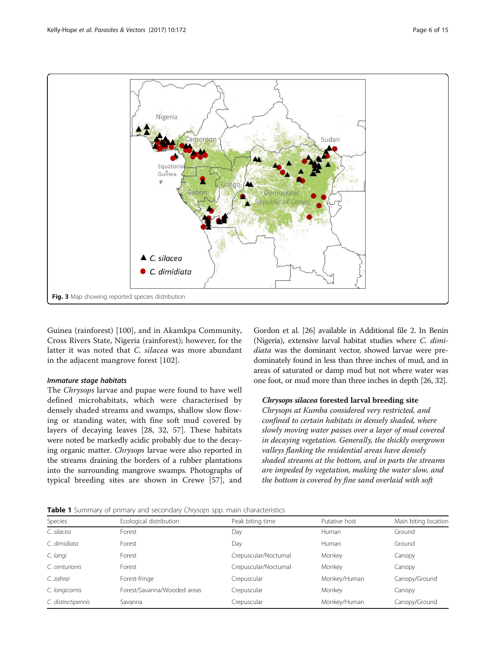<span id="page-5-0"></span>

Guinea (rainforest) [[100\]](#page-14-0), and in Akamkpa Community, Cross Rivers State, Nigeria (rainforest); however, for the latter it was noted that C. silacea was more abundant in the adjacent mangrove forest [\[102](#page-14-0)].

# Immature stage habitats

The Chrysops larvae and pupae were found to have well defined microhabitats, which were characterised by densely shaded streams and swamps, shallow slow flowing or standing water, with fine soft mud covered by layers of decaying leaves [[28, 32](#page-12-0), [57](#page-13-0)]. These habitats were noted be markedly acidic probably due to the decaying organic matter. Chrysops larvae were also reported in the streams draining the borders of a rubber plantations into the surrounding mangrove swamps. Photographs of typical breeding sites are shown in Crewe [\[57](#page-13-0)], and

Gordon et al. [\[26\]](#page-12-0) available in Additional file [2](#page-11-0). In Benin (Nigeria), extensive larval habitat studies where C. dimidiata was the dominant vector, showed larvae were predominately found in less than three inches of mud, and in areas of saturated or damp mud but not where water was one foot, or mud more than three inches in depth [\[26, 32](#page-12-0)].

#### Chrysops silacea forested larval breeding site

Chrysops at Kumba considered very restricted, and confined to certain habitats in densely shaded, where slowly moving water passes over a layer of mud covered in decaying vegetation. Generally, the thickly overgrown valleys flanking the residential areas have densely shaded streams at the bottom, and in parts the streams are impeded by vegetation, making the water slow, and the bottom is covered by fine sand overlaid with soft

| Species            | Ecological distribution     | Peak biting time      | Putative host | Main biting location |
|--------------------|-----------------------------|-----------------------|---------------|----------------------|
| C. silacea         | Forest                      | Day                   | Human         | Ground               |
| C. dimidiata       | Forest                      | Day                   | Human         | Ground               |
| C. langi           | Forest                      | Crepuscular/Nocturnal | Monkey        | Canopy               |
| C. centurionis     | Forest                      | Crepuscular/Nocturnal | Monkey        | Canopy               |
| C. zahrai          | Forest-fringe               | Crepuscular           | Monkey/Human  | Canopy/Ground        |
| C. longicornis     | Forest/Savanna/Wooded areas | Crepuscular           | Monkey        | Canopy               |
| C. distinctipennis | Savanna                     | Crepuscular           | Monkey/Human  | Canopy/Ground        |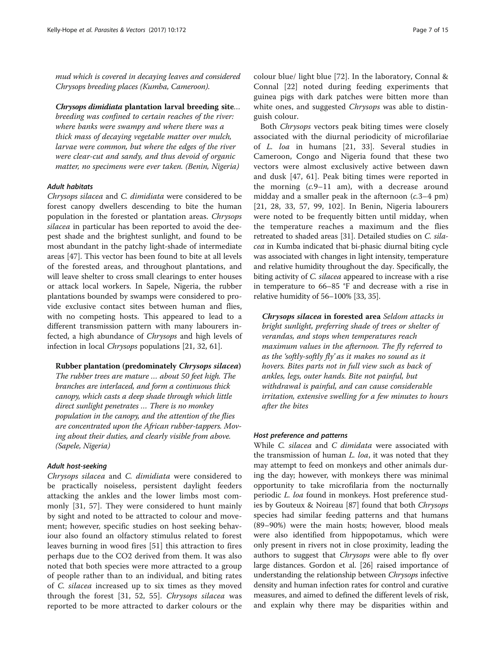mud which is covered in decaying leaves and considered Chrysops breeding places (Kumba, Cameroon).

Chrysops dimidiata plantation larval breeding site… breeding was confined to certain reaches of the river: where banks were swampy and where there was a thick mass of decaying vegetable matter over mulch, larvae were common, but where the edges of the river were clear-cut and sandy, and thus devoid of organic matter, no specimens were ever taken. (Benin, Nigeria)

# Adult habitats

Chrysops silacea and C. dimidiata were considered to be forest canopy dwellers descending to bite the human population in the forested or plantation areas. Chrysops silacea in particular has been reported to avoid the deepest shade and the brightest sunlight, and found to be most abundant in the patchy light-shade of intermediate areas [[47](#page-12-0)]. This vector has been found to bite at all levels of the forested areas, and throughout plantations, and will leave shelter to cross small clearings to enter houses or attack local workers. In Sapele, Nigeria, the rubber plantations bounded by swamps were considered to provide exclusive contact sites between human and flies, with no competing hosts. This appeared to lead to a different transmission pattern with many labourers infected, a high abundance of Chrysops and high levels of infection in local Chrysops populations [\[21, 32,](#page-12-0) [61\]](#page-13-0).

## Rubber plantation (predominately Chrysops silacea)

The rubber trees are mature … about 50 feet high. The branches are interlaced, and form a continuous thick canopy, which casts a deep shade through which little direct sunlight penetrates … There is no monkey population in the canopy, and the attention of the flies are concentrated upon the African rubber-tappers. Moving about their duties, and clearly visible from above. (Sapele, Nigeria)

#### Adult host-seeking

Chrysops silacea and C. dimidiata were considered to be practically noiseless, persistent daylight feeders attacking the ankles and the lower limbs most commonly [\[31](#page-12-0), [57\]](#page-13-0). They were considered to hunt mainly by sight and noted to be attracted to colour and movement; however, specific studies on host seeking behaviour also found an olfactory stimulus related to forest leaves burning in wood fires [\[51](#page-12-0)] this attraction to fires perhaps due to the CO2 derived from them. It was also noted that both species were more attracted to a group of people rather than to an individual, and biting rates of C. silacea increased up to six times as they moved through the forest [[31, 52,](#page-12-0) [55](#page-13-0)]. Chrysops silacea was reported to be more attracted to darker colours or the

colour blue/ light blue [\[72](#page-13-0)]. In the laboratory, Connal & Connal [\[22](#page-12-0)] noted during feeding experiments that guinea pigs with dark patches were bitten more than white ones, and suggested *Chrysops* was able to distinguish colour.

Both Chrysops vectors peak biting times were closely associated with the diurnal periodicity of microfilariae of L. loa in humans [[21, 33](#page-12-0)]. Several studies in Cameroon, Congo and Nigeria found that these two vectors were almost exclusively active between dawn and dusk [\[47](#page-12-0), [61](#page-13-0)]. Peak biting times were reported in the morning  $(c.9-11$  am), with a decrease around midday and a smaller peak in the afternoon  $(c.3-4$  pm) [[21, 28](#page-12-0), [33](#page-12-0), [57,](#page-13-0) [99, 102\]](#page-14-0). In Benin, Nigeria labourers were noted to be frequently bitten until midday, when the temperature reaches a maximum and the flies retreated to shaded areas [[31](#page-12-0)]. Detailed studies on C. silacea in Kumba indicated that bi-phasic diurnal biting cycle was associated with changes in light intensity, temperature and relative humidity throughout the day. Specifically, the biting activity of *C. silacea* appeared to increase with a rise in temperature to 66–85 °F and decrease with a rise in relative humidity of 56–100% [[33](#page-12-0), [35\]](#page-12-0).

Chrysops silacea in forested area Seldom attacks in bright sunlight, preferring shade of trees or shelter of verandas, and stops when temperatures reach maximum values in the afternoon. The fly referred to as the 'softly-softly fly' as it makes no sound as it hovers. Bites parts not in full view such as back of ankles, legs, outer hands. Bite not painful, but withdrawal is painful, and can cause considerable irritation, extensive swelling for a few minutes to hours after the bites

#### Host preference and patterns

While C. silacea and C dimidata were associated with the transmission of human L. loa, it was noted that they may attempt to feed on monkeys and other animals during the day; however, with monkeys there was minimal opportunity to take microfilaria from the nocturnally periodic L. loa found in monkeys. Host preference studies by Gouteux & Noireau [[87](#page-13-0)] found that both Chrysops species had similar feeding patterns and that humans (89–90%) were the main hosts; however, blood meals were also identified from hippopotamus, which were only present in rivers not in close proximity, leading the authors to suggest that Chrysops were able to fly over large distances. Gordon et al. [\[26](#page-12-0)] raised importance of understanding the relationship between Chrysops infective density and human infection rates for control and curative measures, and aimed to defined the different levels of risk, and explain why there may be disparities within and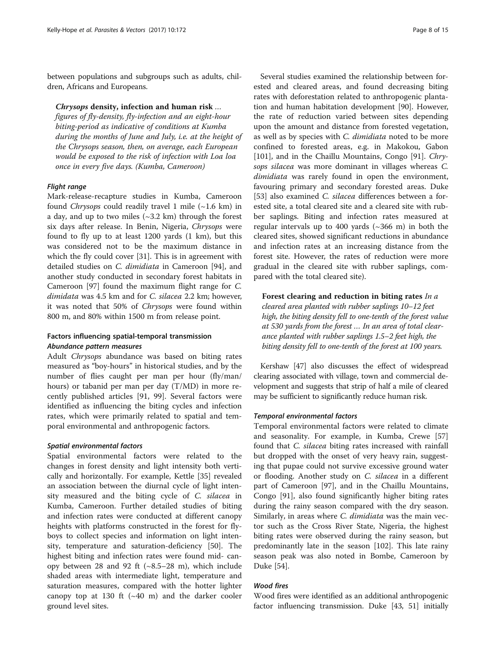between populations and subgroups such as adults, children, Africans and Europeans.

#### Chrysops density, infection and human risk …

figures of fly-density, fly-infection and an eight-hour biting-period as indicative of conditions at Kumba during the months of June and July, i.e. at the height of the Chrysops season, then, on average, each European would be exposed to the risk of infection with Loa loa once in every five days. (Kumba, Cameroon)

# Flight range

Mark-release-recapture studies in Kumba, Cameroon found *Chrysops* could readily travel 1 mile  $(\sim 1.6 \text{ km})$  in a day, and up to two miles  $(\sim 3.2 \text{ km})$  through the forest six days after release. In Benin, Nigeria, Chrysops were found to fly up to at least 1200 yards (1 km), but this was considered not to be the maximum distance in which the fly could cover [[31\]](#page-12-0). This is in agreement with detailed studies on C. dimidiata in Cameroon [[94](#page-13-0)], and another study conducted in secondary forest habitats in Cameroon [[97\]](#page-13-0) found the maximum flight range for C. dimidata was 4.5 km and for C. silacea 2.2 km; however, it was noted that 50% of Chrysops were found within 800 m, and 80% within 1500 m from release point.

# Factors influencing spatial-temporal transmission Abundance pattern measures

Adult Chrysops abundance was based on biting rates measured as "boy-hours" in historical studies, and by the number of flies caught per man per hour (fly/man/ hours) or tabanid per man per day (T/MD) in more recently published articles [[91](#page-13-0), [99](#page-14-0)]. Several factors were identified as influencing the biting cycles and infection rates, which were primarily related to spatial and temporal environmental and anthropogenic factors.

# Spatial environmental factors

Spatial environmental factors were related to the changes in forest density and light intensity both vertically and horizontally. For example, Kettle [\[35](#page-12-0)] revealed an association between the diurnal cycle of light intensity measured and the biting cycle of C. silacea in Kumba, Cameroon. Further detailed studies of biting and infection rates were conducted at different canopy heights with platforms constructed in the forest for flyboys to collect species and information on light intensity, temperature and saturation-deficiency [[50](#page-12-0)]. The highest biting and infection rates were found mid- canopy between 28 and 92 ft (~8.5–28 m), which include shaded areas with intermediate light, temperature and saturation measures, compared with the hotter lighter canopy top at 130 ft  $({\sim}40 \text{ m})$  and the darker cooler ground level sites.

Several studies examined the relationship between forested and cleared areas, and found decreasing biting rates with deforestation related to anthropogenic plantation and human habitation development [\[90](#page-13-0)]. However, the rate of reduction varied between sites depending upon the amount and distance from forested vegetation, as well as by species with C. dimidiata noted to be more confined to forested areas, e.g. in Makokou, Gabon [[101\]](#page-14-0), and in the Chaillu Mountains, Congo [\[91](#page-13-0)]. Chrysops silacea was more dominant in villages whereas C. dimidiata was rarely found in open the environment, favouring primary and secondary forested areas. Duke [[53\]](#page-12-0) also examined *C. silacea* differences between a forested site, a total cleared site and a cleared site with rubber saplings. Biting and infection rates measured at regular intervals up to 400 yards (~366 m) in both the cleared sites, showed significant reductions in abundance and infection rates at an increasing distance from the forest site. However, the rates of reduction were more gradual in the cleared site with rubber saplings, compared with the total cleared site).

Forest clearing and reduction in biting rates In a cleared area planted with rubber saplings 10–12 feet high, the biting density fell to one-tenth of the forest value at 530 yards from the forest … In an area of total clearance planted with rubber saplings 1.5–2 feet high, the biting density fell to one-tenth of the forest at 100 years.

Kershaw [\[47](#page-12-0)] also discusses the effect of widespread clearing associated with village, town and commercial development and suggests that strip of half a mile of cleared may be sufficient to significantly reduce human risk.

#### Temporal environmental factors

Temporal environmental factors were related to climate and seasonality. For example, in Kumba, Crewe [[57](#page-13-0)] found that C. silacea biting rates increased with rainfall but dropped with the onset of very heavy rain, suggesting that pupae could not survive excessive ground water or flooding. Another study on C. silacea in a different part of Cameroon [[97\]](#page-13-0), and in the Chaillu Mountains, Congo [\[91](#page-13-0)], also found significantly higher biting rates during the rainy season compared with the dry season. Similarly, in areas where C. dimidiata was the main vector such as the Cross River State, Nigeria, the highest biting rates were observed during the rainy season, but predominantly late in the season [\[102\]](#page-14-0). This late rainy season peak was also noted in Bombe, Cameroon by Duke [[54](#page-13-0)].

# Wood fires

Wood fires were identified as an additional anthropogenic factor influencing transmission. Duke [\[43, 51](#page-12-0)] initially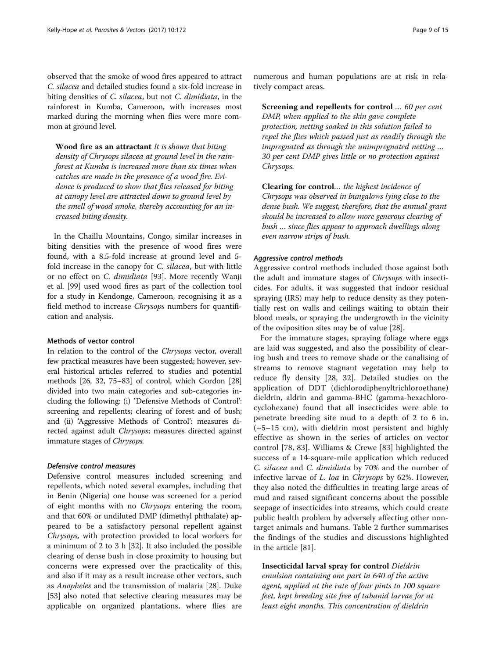observed that the smoke of wood fires appeared to attract C. silacea and detailed studies found a six-fold increase in biting densities of C. silacea, but not C. dimidiata, in the rainforest in Kumba, Cameroon, with increases most marked during the morning when flies were more common at ground level.

Wood fire as an attractant It is shown that biting density of Chrysops silacea at ground level in the rainforest at Kumba is increased more than six times when catches are made in the presence of a wood fire. Evidence is produced to show that flies released for biting at canopy level are attracted down to ground level by the smell of wood smoke, thereby accounting for an increased biting density.

In the Chaillu Mountains, Congo, similar increases in biting densities with the presence of wood fires were found, with a 8.5-fold increase at ground level and 5 fold increase in the canopy for C. silacea, but with little or no effect on C. dimidiata [\[93](#page-13-0)]. More recently Wanji et al. [[99\]](#page-14-0) used wood fires as part of the collection tool for a study in Kendonge, Cameroon, recognising it as a field method to increase Chrysops numbers for quantification and analysis.

#### Methods of vector control

In relation to the control of the Chrysops vector, overall few practical measures have been suggested; however, several historical articles referred to studies and potential methods [[26](#page-12-0), [32](#page-12-0), [75](#page-13-0)–[83\]](#page-13-0) of control, which Gordon [[28](#page-12-0)] divided into two main categories and sub-categories including the following: (i) 'Defensive Methods of Control': screening and repellents; clearing of forest and of bush; and (ii) 'Aggressive Methods of Control': measures directed against adult Chrysops; measures directed against immature stages of Chrysops.

# Defensive control measures

Defensive control measures included screening and repellents, which noted several examples, including that in Benin (Nigeria) one house was screened for a period of eight months with no Chrysops entering the room, and that 60% or undiluted DMP (dimethyl phthalate) appeared to be a satisfactory personal repellent against Chrysops, with protection provided to local workers for a minimum of 2 to 3 h [\[32](#page-12-0)]. It also included the possible clearing of dense bush in close proximity to housing but concerns were expressed over the practicality of this, and also if it may as a result increase other vectors, such as Anopheles and the transmission of malaria [\[28](#page-12-0)]. Duke [[53\]](#page-12-0) also noted that selective clearing measures may be applicable on organized plantations, where flies are

numerous and human populations are at risk in relatively compact areas.

Screening and repellents for control ... 60 per cent DMP, when applied to the skin gave complete protection, netting soaked in this solution failed to repel the flies which passed just as readily through the impregnated as through the unimpregnated netting … 30 per cent DMP gives little or no protection against Chrysops.

Clearing for control… the highest incidence of Chrysops was observed in bungalows lying close to the dense bush. We suggest, therefore, that the annual grant should be increased to allow more generous clearing of bush … since flies appear to approach dwellings along even narrow strips of bush.

### Aggressive control methods

Aggressive control methods included those against both the adult and immature stages of Chrysops with insecticides. For adults, it was suggested that indoor residual spraying (IRS) may help to reduce density as they potentially rest on walls and ceilings waiting to obtain their blood meals, or spraying the undergrowth in the vicinity of the oviposition sites may be of value [\[28\]](#page-12-0).

For the immature stages, spraying foliage where eggs are laid was suggested, and also the possibility of clearing bush and trees to remove shade or the canalising of streams to remove stagnant vegetation may help to reduce fly density [[28, 32\]](#page-12-0). Detailed studies on the application of DDT (dichlorodiphenyltrichloroethane) dieldrin, aldrin and gamma-BHC (gamma-hexachlorocyclohexane) found that all insecticides were able to penetrate breeding site mud to a depth of 2 to 6 in.  $(-5-15$  cm), with dieldrin most persistent and highly effective as shown in the series of articles on vector control [\[78](#page-13-0), [83\]](#page-13-0). Williams & Crewe [[83](#page-13-0)] highlighted the success of a 14-square-mile application which reduced C. silacea and C. dimidiata by 70% and the number of infective larvae of L. loa in Chrysops by 62%. However, they also noted the difficulties in treating large areas of mud and raised significant concerns about the possible seepage of insecticides into streams, which could create public health problem by adversely affecting other nontarget animals and humans. Table [2](#page-9-0) further summarises the findings of the studies and discussions highlighted in the article [[81\]](#page-13-0).

Insecticidal larval spray for control Dieldrin emulsion containing one part in 640 of the active agent, applied at the rate of four pints to 100 square feet, kept breeding site free of tabanid larvae for at least eight months. This concentration of dieldrin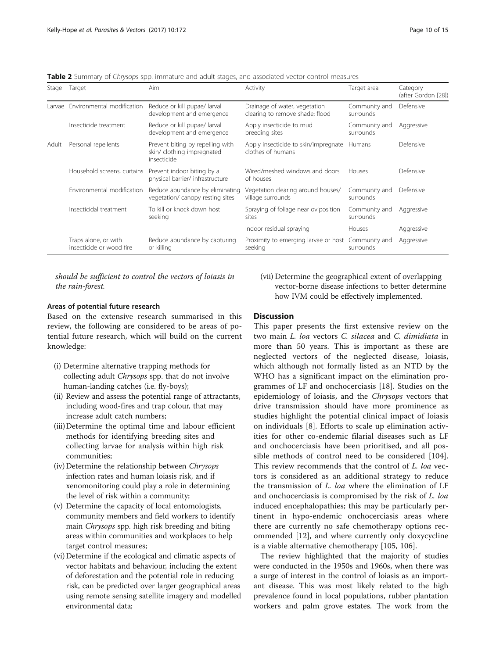<span id="page-9-0"></span>Table 2 Summary of Chrysops spp. immature and adult stages, and associated vector control measures

| Stage   | Target                                           | Aim                                                                           | Activity                                                         | Target area                | Category<br>(after Gordon [28]) |
|---------|--------------------------------------------------|-------------------------------------------------------------------------------|------------------------------------------------------------------|----------------------------|---------------------------------|
| l arvae | Environmental modification                       | Reduce or kill pupae/ larval<br>development and emergence                     | Drainage of water, vegetation<br>clearing to remove shade; flood | Community and<br>surrounds | Defensive                       |
|         | Insecticide treatment                            | Reduce or kill pupae/ larval<br>development and emergence                     | Apply insecticide to mud<br>breeding sites                       | Community and<br>surrounds | Aggressive                      |
| Adult   | Personal repellents                              | Prevent biting by repelling with<br>skin/ clothing impregnated<br>insecticide | Apply insecticide to skin/impregnate<br>clothes of humans        | <b>Humans</b>              | Defensive                       |
|         | Household screens, curtains                      | Prevent indoor biting by a<br>physical barrier/ infrastructure                | Wired/meshed windows and doors<br>of houses                      | Houses                     | Defensive                       |
|         | Environmental modification                       | Reduce abundance by eliminating<br>vegetation/ canopy resting sites           | Vegetation clearing around houses/<br>village surrounds          | Community and<br>surrounds | Defensive                       |
|         | Insecticidal treatment                           | To kill or knock down host<br>seeking                                         | Spraying of foliage near oviposition<br>sites                    | Community and<br>surrounds | Aggressive                      |
|         |                                                  |                                                                               | Indoor residual spraying                                         | Houses                     | Aggressive                      |
|         | Traps alone, or with<br>insecticide or wood fire | Reduce abundance by capturing<br>or killing                                   | Proximity to emerging larvae or host<br>seeking                  | Community and<br>surrounds | Aggressive                      |

should be sufficient to control the vectors of loiasis in the rain-forest.

# Areas of potential future research

Based on the extensive research summarised in this review, the following are considered to be areas of potential future research, which will build on the current knowledge:

- (i) Determine alternative trapping methods for collecting adult Chrysops spp. that do not involve human-landing catches (i.e. fly-boys);
- (ii) Review and assess the potential range of attractants, including wood-fires and trap colour, that may increase adult catch numbers;
- (iii)Determine the optimal time and labour efficient methods for identifying breeding sites and collecting larvae for analysis within high risk communities;
- (iv) Determine the relationship between Chrysops infection rates and human loiasis risk, and if xenomonitoring could play a role in determining the level of risk within a community;
- (v) Determine the capacity of local entomologists, community members and field workers to identify main Chrysops spp. high risk breeding and biting areas within communities and workplaces to help target control measures;
- (vi) Determine if the ecological and climatic aspects of vector habitats and behaviour, including the extent of deforestation and the potential role in reducing risk, can be predicted over larger geographical areas using remote sensing satellite imagery and modelled environmental data;

(vii) Determine the geographical extent of overlapping vector-borne disease infections to better determine how IVM could be effectively implemented.

# **Discussion**

This paper presents the first extensive review on the two main L. loa vectors C. silacea and C. dimidiata in more than 50 years. This is important as these are neglected vectors of the neglected disease, loiasis, which although not formally listed as an NTD by the WHO has a significant impact on the elimination programmes of LF and onchocerciasis [[18\]](#page-12-0). Studies on the epidemiology of loiasis, and the Chrysops vectors that drive transmission should have more prominence as studies highlight the potential clinical impact of loiasis on individuals [[8\]](#page-12-0). Efforts to scale up elimination activities for other co-endemic filarial diseases such as LF and onchocerciasis have been prioritised, and all possible methods of control need to be considered [\[104](#page-14-0)]. This review recommends that the control of L. loa vectors is considered as an additional strategy to reduce the transmission of L. loa where the elimination of LF and onchocerciasis is compromised by the risk of L. loa induced encephalopathies; this may be particularly pertinent in hypo-endemic onchocerciasis areas where there are currently no safe chemotherapy options recommended [[12\]](#page-12-0), and where currently only doxycycline is a viable alternative chemotherapy [\[105](#page-14-0), [106\]](#page-14-0).

The review highlighted that the majority of studies were conducted in the 1950s and 1960s, when there was a surge of interest in the control of loiasis as an important disease. This was most likely related to the high prevalence found in local populations, rubber plantation workers and palm grove estates. The work from the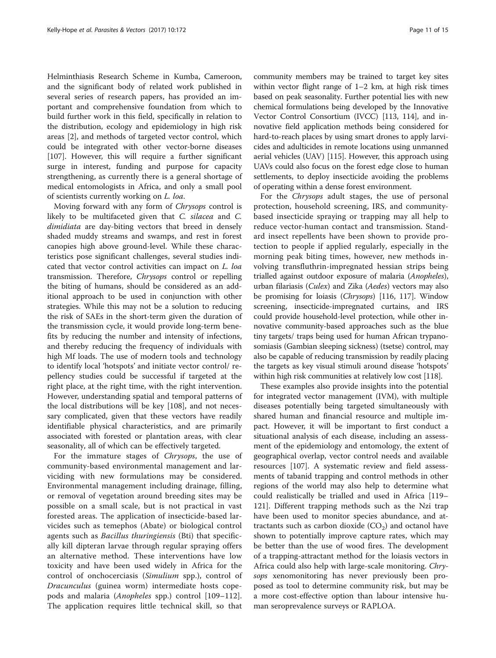Helminthiasis Research Scheme in Kumba, Cameroon, and the significant body of related work published in several series of research papers, has provided an important and comprehensive foundation from which to build further work in this field, specifically in relation to the distribution, ecology and epidemiology in high risk areas [[2\]](#page-11-0), and methods of targeted vector control, which could be integrated with other vector-borne diseases [[107\]](#page-14-0). However, this will require a further significant surge in interest, funding and purpose for capacity strengthening, as currently there is a general shortage of medical entomologists in Africa, and only a small pool of scientists currently working on L. loa.

Moving forward with any form of Chrysops control is likely to be multifaceted given that C. silacea and C. dimidiata are day-biting vectors that breed in densely shaded muddy streams and swamps, and rest in forest canopies high above ground-level. While these characteristics pose significant challenges, several studies indicated that vector control activities can impact on L. loa transmission. Therefore, Chrysops control or repelling the biting of humans, should be considered as an additional approach to be used in conjunction with other strategies. While this may not be a solution to reducing the risk of SAEs in the short-term given the duration of the transmission cycle, it would provide long-term benefits by reducing the number and intensity of infections, and thereby reducing the frequency of individuals with high Mf loads. The use of modern tools and technology to identify local 'hotspots' and initiate vector control/ repellency studies could be successful if targeted at the right place, at the right time, with the right intervention. However, understanding spatial and temporal patterns of the local distributions will be key [\[108\]](#page-14-0), and not necessary complicated, given that these vectors have readily identifiable physical characteristics, and are primarily associated with forested or plantation areas, with clear seasonality, all of which can be effectively targeted.

For the immature stages of Chrysops, the use of community-based environmental management and larviciding with new formulations may be considered. Environmental management including drainage, filling, or removal of vegetation around breeding sites may be possible on a small scale, but is not practical in vast forested areas. The application of insecticide-based larvicides such as temephos (Abate) or biological control agents such as Bacillus thuringiensis (Bti) that specifically kill dipteran larvae through regular spraying offers an alternative method. These interventions have low toxicity and have been used widely in Africa for the control of onchocerciasis (Simulium spp.), control of Dracunculus (guinea worm) intermediate hosts copepods and malaria (Anopheles spp.) control [\[109](#page-14-0)–[112](#page-14-0)]. The application requires little technical skill, so that community members may be trained to target key sites within vector flight range of 1–2 km, at high risk times based on peak seasonality. Further potential lies with new chemical formulations being developed by the Innovative Vector Control Consortium (IVCC) [\[113, 114\]](#page-14-0), and innovative field application methods being considered for hard-to-reach places by using smart drones to apply larvicides and adulticides in remote locations using unmanned aerial vehicles (UAV) [\[115](#page-14-0)]. However, this approach using UAVs could also focus on the forest edge close to human settlements, to deploy insecticide avoiding the problems of operating within a dense forest environment.

For the *Chrysops* adult stages, the use of personal protection, household screening, IRS, and communitybased insecticide spraying or trapping may all help to reduce vector-human contact and transmission. Standard insect repellents have been shown to provide protection to people if applied regularly, especially in the morning peak biting times, however, new methods involving transfluthrin-impregnated hessian strips being trialled against outdoor exposure of malaria (Anopheles), urban filariasis (Culex) and Zika (Aedes) vectors may also be promising for loiasis (Chrysops) [[116](#page-14-0), [117](#page-14-0)]. Window screening, insecticide-impregnated curtains, and IRS could provide household-level protection, while other innovative community-based approaches such as the blue tiny targets/ traps being used for human African trypanosomiasis (Gambian sleeping sickness) (tsetse) control, may also be capable of reducing transmission by readily placing the targets as key visual stimuli around disease 'hotspots' within high risk communities at relatively low cost [\[118](#page-14-0)].

These examples also provide insights into the potential for integrated vector management (IVM), with multiple diseases potentially being targeted simultaneously with shared human and financial resource and multiple impact. However, it will be important to first conduct a situational analysis of each disease, including an assessment of the epidemiology and entomology, the extent of geographical overlap, vector control needs and available resources [[107](#page-14-0)]. A systematic review and field assessments of tabanid trapping and control methods in other regions of the world may also help to determine what could realistically be trialled and used in Africa [[119](#page-14-0)– [121](#page-14-0)]. Different trapping methods such as the Nzi trap have been used to monitor species abundance, and attractants such as carbon dioxide  $(CO_2)$  and octanol have shown to potentially improve capture rates, which may be better than the use of wood fires. The development of a trapping-attractant method for the loiasis vectors in Africa could also help with large-scale monitoring. Chrysops xenomonitoring has never previously been proposed as tool to determine community risk, but may be a more cost-effective option than labour intensive human seroprevalence surveys or RAPLOA.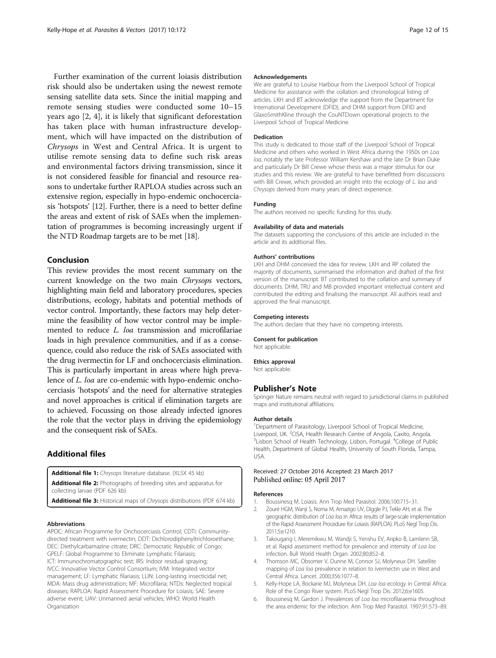<span id="page-11-0"></span>Further examination of the current loiasis distribution risk should also be undertaken using the newest remote sensing satellite data sets. Since the initial mapping and remote sensing studies were conducted some 10–15 years ago [2, 4], it is likely that significant deforestation has taken place with human infrastructure development, which will have impacted on the distribution of Chrysops in West and Central Africa. It is urgent to utilise remote sensing data to define such risk areas and environmental factors driving transmission, since it is not considered feasible for financial and resource reasons to undertake further RAPLOA studies across such an extensive region, especially in hypo-endemic onchocerciasis 'hotspots' [[12](#page-12-0)]. Further, there is a need to better define the areas and extent of risk of SAEs when the implementation of programmes is becoming increasingly urgent if the NTD Roadmap targets are to be met [[18](#page-12-0)].

# Conclusion

This review provides the most recent summary on the current knowledge on the two main Chrysops vectors, highlighting main field and laboratory procedures, species distributions, ecology, habitats and potential methods of vector control. Importantly, these factors may help determine the feasibility of how vector control may be implemented to reduce L. loa transmission and microfilariae loads in high prevalence communities, and if as a consequence, could also reduce the risk of SAEs associated with the drug ivermectin for LF and onchocerciasis elimination. This is particularly important in areas where high prevalence of L. loa are co-endemic with hypo-endemic onchocerciasis 'hotspots' and the need for alternative strategies and novel approaches is critical if elimination targets are to achieved. Focussing on those already infected ignores the role that the vector plays in driving the epidemiology and the consequent risk of SAEs.

# Additional files

[Additional file 1:](dx.doi.org/10.1186/s13071-017-2103-y) Chrysops literature database. (XLSX 45 kb) [Additional file 2:](dx.doi.org/10.1186/s13071-017-2103-y) Photographs of breeding sites and apparatus for collecting larvae (PDF 626 kb)

[Additional file 3:](dx.doi.org/10.1186/s13071-017-2103-y) Historical maps of Chrysops distributions (PDF 674 kb)

#### Abbreviations

APOC: African Programme for Onchocerciasis Control; CDTi: Communitydirected treatment with ivermectin; DDT: Dichlorodiphenyltrichloroethane; DEC: Diethylcarbamazine citrate; DRC: Democratic Republic of Congo; GPELF: Global Programme to Eliminate Lymphatic Filariasis; ICT: Immunochromatographic test; IRS: Indoor residual spraying; IVCC: Innovative Vector Control Consortium; IVM: Integrated vector management; LF: Lymphatic filariasis; LLIN: Long-lasting insecticidal net; MDA: Mass drug administration; MF: Microfilaria; NTDs: Neglected tropical diseases; RAPLOA: Rapid Assessment Procedure for Loiasis; SAE: Severe adverse event; UAV: Unmanned aerial vehicles; WHO: World Health Organization

#### Acknowledgements

We are grateful to Louise Harbour from the Liverpool School of Tropical Medicine for assistance with the collation and chronological listing of articles. LKH and BT acknowledge the support from the Department for International Development (DFID), and DHM support from DFID and GlaxoSmithKline through the CouNTDown operational projects to the Liverpool School of Tropical Medicine.

#### Dedication

This study is dedicated to those staff of the Liverpool School of Tropical Medicine and others who worked in West Africa during the 1950s on Loa loa, notably the late Professor William Kershaw and the late Dr Brian Duke and particularly Dr Bill Crewe whose thesis was a major stimulus for our studies and this review. We are grateful to have benefitted from discussions with Bill Crewe, which provided an insight into the ecology of L. loa and Chrysops derived from many years of direct experience.

#### Funding

The authors received no specific funding for this study.

#### Availability of data and materials

The datasets supporting the conclusions of this article are included in the article and its additional files.

#### Authors' contributions

LKH and DHM conceived the idea for review. LKH and RP collated the majority of documents, summarised the information and drafted of the first version of the manuscript. BT contributed to the collation and summary of documents. DHM, TRU and MB provided important intellectual content and contributed the editing and finalising the manuscript. All authors read and approved the final manuscript.

#### Competing interests

The authors declare that they have no competing interests.

#### Consent for publication

Not applicable.

#### Ethics approval

Not applicable.

#### Publisher's Note

Springer Nature remains neutral with regard to jurisdictional claims in published maps and institutional affiliations.

#### Author details

<sup>1</sup>Department of Parasitology, Liverpool School of Tropical Medicine, Liverpool, UK. <sup>2</sup>CISA, Health Research Centre of Angola, Caxito, Angola.<br><sup>3</sup>Lisbon School of Health Technology, Lisbon, Pertugal. <sup>4</sup>Collogo of Bul Lisbon School of Health Technology, Lisbon, Portugal. <sup>4</sup>College of Public Health, Department of Global Health, University of South Florida, Tampa, USA.

# Received: 27 October 2016 Accepted: 23 March 2017 Published online: 05 April 2017

#### References

- 1. Boussinesq M. Loiasis. Ann Trop Med Parasitol. 2006;100:715–31.
- 2. Zouré HGM, Wanji S, Noma M, Amazigo UV, Diggle PJ, Tekle AH, et al. The geographic distribution of Loa loa in Africa: results of large-scale implementation of the Rapid Assessment Procedure for Loiasis (RAPLOA). PLoS Negl Trop Dis. 2011;5:e1210.
- Takougang I, Meremikwu M, Wandji S, Yenshu EV, Aripko B, Lamlenn SB, et al. Rapid assessment method for prevalence and intensity of Loa loa infection. Bull World Health Organ. 2002;80:852–8.
- 4. Thomson MC, Obsomer V, Dunne M, Connor SJ, Molyneux DH. Satellite mapping of Loa loa prevalence in relation to ivermectin use in West and Central Africa. Lancet. 2000;356:1077–8.
- 5. Kelly-Hope LA, Bockarie MJ, Molyneux DH. Loa loa ecology in Central Africa: Role of the Congo River system. PLoS Negl Trop Dis. 2012;6:e1605.
- 6. Boussinesq M, Gardon J. Prevalences of Loa loa microfilaraemia throughout the area endemic for the infection. Ann Trop Med Parasitol. 1997;91:573–89.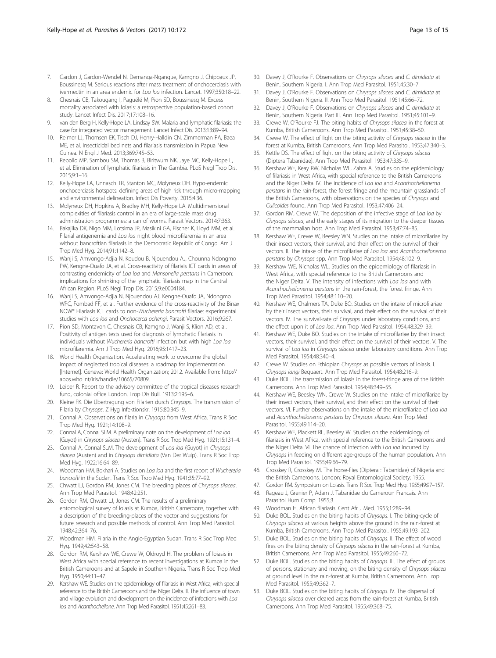- <span id="page-12-0"></span>7. Gardon J, Gardon-Wendel N, Demanga-Ngangue, Kamgno J, Chippaux JP, Boussinesq M. Serious reactions after mass treatment of onchocerciasis with ivermectin in an area endemic for Loa loa infection. Lancet. 1997;350:18–22.
- 8. Chesnais CB, Takougang I, Paguélé M, Pion SD, Boussinesq M. Excess mortality associated with loiasis: a retrospective population-based cohort study. Lancet Infect Dis. 2017;17:108–16.
- 9. van den Berg H, Kelly-Hope LA, Lindsay SW. Malaria and lymphatic filariasis: the case for integrated vector management. Lancet Infect Dis. 2013;13:89–94.
- 10. Reimer LJ, Thomsen EK, Tisch DJ, Henry-Halldin CN, Zimmerman PA, Baea ME, et al. Insecticidal bed nets and filariasis transmission in Papua New Guinea. N Engl J Med. 2013;369:745–53.
- 11. Rebollo MP, Sambou SM, Thomas B, Biritwum NK, Jaye MC, Kelly-Hope L, et al. Elimination of lymphatic filariasis in The Gambia. PLoS Negl Trop Dis. 2015;9:1–16.
- 12. Kelly-Hope LA, Unnasch TR, Stanton MC, Molyneux DH. Hypo-endemic onchocerciasis hotspots: defining areas of high risk through micro-mapping and environmental delineation. Infect Dis Poverty. 2015;4:36.
- 13. Molyneux DH, Hopkins A, Bradley MH, Kelly-Hope LA. Multidimensional complexities of filariasis control in an era of large-scale mass drug administration programmes: a can of worms. Parasit Vectors. 2014;7:363.
- 14. Bakajika DK, Nigo MM, Lotsima JP, Masikini GA, Fischer K, Lloyd MM, et al. Filarial antigenemia and Loa loa night blood microfilaremia in an area without bancroftian filariasis in the Democratic Republic of Congo. Am J Trop Med Hyg. 2014;91:1142–8.
- 15. Wanji S, Amvongo-Adjia N, Koudou B, Njouendou AJ, Chounna Ndongmo PW, Kengne-Ouafo JA, et al. Cross-reactivity of filariais ICT cards in areas of contrasting endemicity of Loa loa and Mansonella perstans in Cameroon: implications for shrinking of the lymphatic filariasis map in the Central African Region. PLoS Negl Trop Dis. 2015;9:e0004184.
- 16. Wanji S, Amvongo-Adjia N, Njouendou AJ, Kengne-Ouafo JA, Ndongmo WPC, Fombad FF, et al. Further evidence of the cross-reactivity of the Binax NOW® Filariasis ICT cards to non-Wuchereria bancrofti filariae: experimental studies with Loa loa and Onchocerca ochengi. Parasit Vectors. 2016;9:267.
- 17. Pion SD, Montavon C, Chesnais CB, Kamgno J, Wanji S, Klion AD, et al. Positivity of antigen tests used for diagnosis of lymphatic filariasis in individuals without Wuchereria bancrofti infection but with high Loa loa microfilaremia. Am J Trop Med Hyg. 2016;95:1417–23.
- 18. World Health Organization. Accelerating work to overcome the global impact of neglected tropical diseases: a roadmap for implementation [Internet]. Geneva: World Health Organization; 2012. Available from: [http://](http://apps.who.int/iris/handle/10665/70809) [apps.who.int/iris/handle/10665/70809.](http://apps.who.int/iris/handle/10665/70809)
- 19. Leiper R. Report to the advisory committee of the tropical diseases research fund, colonial office London. Trop Dis Bull. 1913;2:195–6.
- 20. Kleine FK. Die Übertragung von Filarien durch Chrysops. The transmission of Filaria by Chrysops. Z Hyg Infektionskr. 1915;80:345–9.
- 21. Connal A. Observations on filaria in Chrysops from West Africa. Trans R Soc Trop Med Hyg. 1921;14:108–9.
- 22. Connal A, Connal SLM. A preliminary note on the development of Loa loa (Guyot) in Chrysops silacea (Austen). Trans R Soc Trop Med Hyg. 1921;15:131–4.
- 23. Connal A, Connal SLM. The development of Loa loa (Guyot) in Chrysops silacea (Austen) and in Chrysops dimidiata (Van Der Wulp). Trans R Soc Trop Med Hyg. 1922;16:64–89.
- 24. Woodman HM, Bokhari A. Studies on Loa loa and the first report of Wuchereria bancrofti in the Sudan. Trans R Soc Trop Med Hyg. 1941;35:77–92.
- 25. Chwatt LJ, Gordon RM, Jones CM. The breeding places of Chrysops silacea. Ann Trop Med Parasitol. 1948;42:251.
- 26. Gordon RM, Chwatt LJ, Jones CM. The results of a preliminary entomological survey of loiasis at Kumba, British Cameroons, together with a description of the breeding-places of the vector and suggestions for future research and possible methods of control. Ann Trop Med Parasitol. 1948;42:364–76.
- 27. Woodman HM. Filaria in the Anglo-Egyptian Sudan. Trans R Soc Trop Med Hyg. 1949;42:543–58.
- 28. Gordon RM, Kershaw WE, Crewe W, Oldroyd H. The problem of loiasis in West Africa with special reference to recent investigations at Kumba in the British Cameroons and at Sapele in Southern Nigeria. Trans R Soc Trop Med Hyg. 1950;44:11–47.
- 29. Kershaw WE. Studies on the epidemiology of filariasis in West Africa, with special reference to the British Cameroons and the Niger Delta. II. The influence of town and village evolution and development on the incidence of infections with Loa loa and Acanthocheilone. Ann Trop Med Parasitol. 1951;45:261–83.
- 30. Davey J, O'Rourke F. Observations on Chrysops silacea and C. dimidiata at Benin, Southern Nigeria. I. Ann Trop Med Parasitol. 1951;45:30–7.
- 31. Davey J, O'Rourke F, Observations on Chrysops silacea and C, dimidiata at Benin, Southern Nigeria. II. Ann Trop Med Parasitol. 1951;45:66–72.
- 32. Davey J, O'Rourke F. Observations on Chrysops silacea and C. dimidiata at Benin, Southern Nigeria. Part III. Ann Trop Med Parasitol. 1951;45:101–9.
- 33. Crewe W, O'Rourke FJ. The biting habits of Chrysops silacea in the forest at Kumba, British Cameroons. Ann Trop Med Parasitol. 1951;45:38–50.
- 34. Crewe W. The effect of light on the biting activity of Chrysops silacea in the forest at Kumba, British Cameroons. Ann Trop Med Parasitol. 1953;47:340–3.
- Kettle DS. The effect of light on the biting activity of Chrysops silacea (Diptera Tabanidae). Ann Trop Med Parasitol. 1953;47:335–9.
- 36. Kershaw WE, Keay RW, Nicholas WL, Zahra A. Studies on the epidemiology of filariasis in West Africa, with special reference to the British Cameroons and the Niger Delta. IV. The incidence of Loa loa and Acanthocheilonema perstans in the rain-forest, the forest fringe and the mountain grasslands of the British Cameroons, with observations on the species of Chrysops and Culicoides found. Ann Trop Med Parasitol. 1953;47:406–24.
- 37. Gordon RM, Crewe W. The deposition of the infective stage of Loa loa by Chrysops silacea, and the early stages of its migration to the deeper tissues of the mammalian host. Ann Trop Med Parasitol. 1953;47:74–85.
- 38. Kershaw WE, Crewe W, Beesley WN. Studies on the intake of microfilariae by their insect vectors, their survival, and their effect on the survival of their vectors. II. The intake of the microfilariae of Loa loa and Acanthocheilonema perstans by Chrysops spp. Ann Trop Med Parasitol. 1954;48:102–9.
- 39. Kershaw WE, Nicholas WL. Studies on the epidemiology of filariasis in West Africa, with special reference to the British Cameroons and the Niger Delta. V. The intensity of infections with Loa loa and with Acanthocheilonema perstans in the rain-forest, the forest fringe. Ann Trop Med Parasitol. 1954;48:110–20.
- 40. Kershaw WE, Chalmers TA, Duke BO. Studies on the intake of microfilariae by their insect vectors, their survival, and their effect on the survival of their vectors. IV. The survival-rate of Chrysops under laboratory conditions, and the effect upon it of Loa loa. Ann Trop Med Parasitol. 1954;48:329–39.
- 41. Kershaw WE, Duke BO. Studies on the intake of microfilariae by their insect vectors, their survival, and their effect on the survival of their vectors. V. The survival of Loa loa in Chrysops silacea under laboratory conditions. Ann Trop Med Parasitol. 1954;48:340–4.
- 42. Crewe W. Studies on Ethiopian Chrysops as possible vectors of loiasis. I. Chrysops langi Bequaert. Ann Trop Med Parasitol. 1954;48:216–9.
- 43. Duke BOL. The transmission of loiasis in the forest-fringe area of the British Cameroons. Ann Trop Med Parasitol. 1954;48:349–55.
- 44. Kershaw WE, Beesley WN, Crewe W. Studies on the intake of microfilariae by their insect vectors, their survival, and their effect on the survival of their vectors. VI. Further observations on the intake of the microfilariae of Loa loa and Acanthocheilonema perstans by Chrysops silacea. Ann Trop Med Parasitol. 1955;49:114–20.
- 45. Kershaw WE, Plackett RL, Beesley W. Studies on the epidemiology of filariasis in West Africa, with special reference to the British Cameroons and the Niger Delta. VI. The chance of infection with Loa loa incurred by Chrysops in feeding on different age-groups of the human population. Ann Trop Med Parasitol. 1955;49:66–79.
- 46. Crosskey R, Crosskey M. The horse-flies (Diptera : Tabanidae) of Nigeria and the British Cameroons. London: Royal Entomological Society; 1955.
- 47. Gordon RM. Symposium on Loiasis. Trans R Soc Trop Med Hyg. 1955;49:97–157.
- 48. Rageau J, Grenier P, Adam J. Tabanidae du Cameroun Francais. Ann Parasitol Hum Comp. 1955;3.
- 49. Woodman H. African filariasis. Cent Afr J Med. 1955;1:289–94.
- 50. Duke BOL. Studies on the biting habits of Chrysops. I. The biting-cycle of Chrysops silacea at various heights above the ground in the rain-forest at Kumba, British Cameroons. Ann Trop Med Parasitol. 1955;49:193–202.
- 51. Duke BOL. Studies on the biting habits of Chrysops. II. The effect of wood fires on the biting density of Chrysops silacea in the rain-forest at Kumba, British Cameroons. Ann Trop Med Parasitol. 1955;49:260–72.
- 52. Duke BOL. Studies on the biting habits of Chrysops. III. The effect of groups of persons, stationary and moving, on the biting density of Chrysops silacea at ground level in the rain-forest at Kumba, British Cameroons. Ann Trop Med Parasitol. 1955;49:362–7.
- 53. Duke BOL. Studies on the biting habits of Chrysops. IV. The dispersal of Chrysops silacea over cleared areas from the rain-forest at Kumba, British Cameroons. Ann Trop Med Parasitol. 1955;49:368–75.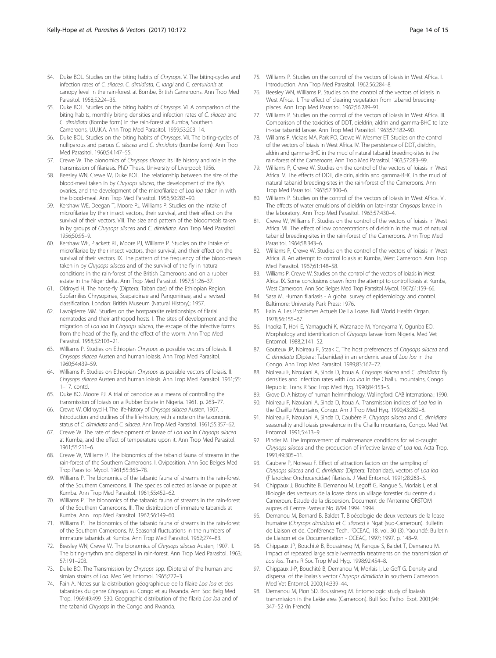- <span id="page-13-0"></span>54. Duke BOL. Studies on the biting habits of Chrysops. V. The biting-cycles and infection rates of C. silacea, C. dimidiata, C. langi and C. centurionis at canopy level in the rain-forest at Bombe, British Cameroons. Ann Trop Med Parasitol. 1958;52:24–35.
- 55. Duke BOL. Studies on the biting habits of Chrysops. VI. A comparison of the biting habits, monthly biting densities and infection rates of C. silacea and C. dimidiata (Bombe form) in the rain-forest at Kumba, Southern Cameroons, U.U.K.A. Ann Trop Med Parasitol. 1959;53:203–14.
- 56. Duke BOL. Studies on the biting habits of Chrysops. VII. The biting-cycles of nulliparous and parous C. silacea and C. dimidiata (bombe form). Ann Trop Med Parasitol. 1960;54:147–55.
- 57. Crewe W. The bionomics of Chrysops silacea: its life history and role in the transmission of filariasis. PhD Thesis. University of Liverpool; 1956.
- 58. Beesley WN, Crewe W, Duke BOL. The relationship between the size of the blood-meal taken in by Chrysops silacea, the development of the fly's ovaries, and the development of the microfilariae of Loa loa taken in with the blood-meal. Ann Trop Med Parasitol. 1956;50:283–90.
- 59. Kershaw WE, Deegan T, Moore PJ, Williams P. Studies on the intake of microfilariae by their insect vectors, their survival, and their effect on the survival of their vectors. VIII. The size and pattern of the bloodmeals taken in by groups of Chrysops silacea and C. dimidiata. Ann Trop Med Parasitol. 1956;50:95–9.
- 60. Kershaw WE, Plackett RL, Moore PJ, Williams P. Studies on the intake of microfilariae by their insect vectors, their survival, and their effect on the survival of their vectors. IX. The pattern of the frequency of the blood-meals taken in by Chrysops silacea and of the survival of the fly in natural conditions in the rain-forest of the British Cameroons and on a rubber estate in the Niger delta. Ann Trop Med Parasitol. 1957;51:26–37.
- 61. Oldroyd H. The horse-fly (Diptera: Tabanidae) of the Ethiopian Region. Subfamilies Chrysopinae, Scepaidinae and Pangoniinae, and a revised classification. London: British Museum (Natural History); 1957.
- 62. Lavoipierre MM. Studies on the hostparasite relationships of filarial nematodes and their arthropod hosts. I. The sites of development and the migration of Loa loa in Chrysops silacea, the escape of the infective forms from the head of the fly, and the effect of the worm. Ann Trop Med Parasitol. 1958;52:103–21.
- 63. Williams P. Studies on Ethiopian Chrysops as possible vectors of loiasis. II. Chrysops silacea Austen and human loiasis. Ann Trop Med Parasitol. 1960;54:439–59.
- 64. Williams P. Studies on Ethiopian Chrysops as possible vectors of loiasis. II. Chrysops silacea Austen and human loiasis. Ann Trop Med Parasitol. 1961;55: 1–17. contd.
- 65. Duke BO, Moore PJ. A trial of banocide as a means of controlling the transmission of loiasis on a Rubber Estate in Nigeria. 1961. p. 263–77.
- 66. Crewe W, Oldroyd H. The life-history of Chrysops silacea Austen, 1907. I. Introduction and outlines of the life-history, with a note on the taxonomic status of C. dimidiata and C. silacea. Ann Trop Med Parasitol. 1961;55:357–62.
- 67. Crewe W. The rate of development of larvae of Loa loa in Chrysops silacea at Kumba, and the effect of temperature upon it. Ann Trop Med Parasitol. 1961;55:211–6.
- 68. Crewe W, Williams P. The bionomics of the tabanid fauna of streams in the rain-forest of the Southern Cameroons. I. Oviposition. Ann Soc Belges Med Trop Parasitol Mycol. 1961;55:363–78.
- 69. Williams P. The bionomics of the tabanid fauna of streams in the rain-forest of the Southern Cameroons. II. The species collected as larvae or pupae at Kumba. Ann Trop Med Parasitol. 1961;55:452–62.
- 70. Williams P. The bionomics of the tabanid fauna of streams in the rain-forest of the Southern Cameroons. III. The distribution of immature tabanids at Kumba. Ann Trop Med Parasitol. 1962;56:149–60.
- 71. Williams P. The bionomics of the tabanid fauna of streams in the rain-forest of the Southern Cameroons. IV. Seasonal fluctuations in the numbers of immature tabanids at Kumba. Ann Trop Med Parasitol. 1962;274–83.
- 72. Beesley WN, Crewe W. The bionomics of Chrysops silacea Austen, 1907. II. The biting-rhythm and dispersal in rain-forest. Ann Trop Med Parasitol. 1963; 57:191–203.
- 73. Duke BO. The Transmission by Chrysops spp. (Diptera) of the human and simian strains of Loa. Med Vet Entomol. 1965;772–3.
- 74. Fain A. Notes sur la distribution géographique de la filaire Loa loa et des tabanides du genre Chrysops au Congo et au Rwanda. Ann Soc Belg Med Trop. 1969;49:499–530. Geographic distribution of the filaria Loa loa and of the tabanid Chrysops in the Congo and Rwanda.
- 75. Williams P. Studies on the control of the vectors of loiasis in West Africa. I. Introduction. Ann Trop Med Parasitol. 1962;56:284–8.
- 76. Beesley WN, Williams P. Studies on the control of the vectors of loiasis in West Africa. II. The effect of clearing vegetation from tabanid breedingplaces. Ann Trop Med Parasitol. 1962;56:289–91.
- 77. Williams P. Studies on the control of the vectors of loiasis in West Africa. III. Comparison of the toxicities of DDT, dieldrin, aldrin and gamma-BHC to late in-star tabanid larvae. Ann Trop Med Parasitol. 1963;57:182–90.
- 78. Williams P, Vickars MA, Park PO, Crewe W, Mesmer ET. Studies on the control of the vectors of loiasis in West Africa. IV. The persistence of DDT, dieldrin, aldrin and gamma-BHC in the mud of natural tabanid breeding-sites in the rain-forest of the Cameroons. Ann Trop Med Parasitol. 1963;57:283–99.
- 79. Williams P, Crewe W. Studies on the control of the vectors of loiasis in West Africa. V. The effects of DDT, dieldrin, aldrin and gamma-BHC in the mud of natural tabanid breeding-sites in the rain-forest of the Cameroons. Ann Trop Med Parasitol. 1963;57:300–6.
- 80. Williams P. Studies on the control of the vectors of loiasis in West Africa. VI. The effects of water emulsions of dieldrin on late-instar Chrysops larvae in the laboratory. Ann Trop Med Parasitol. 1963;57:430–4.
- 81. Crewe W, Williams P. Studies on the control of the vectors of loiasis in West Africa. VII. The effect of low concentrations of dieldrin in the mud of natural tabanid breeding-sites in the rain-forest of the Cameroons. Ann Trop Med Parasitol. 1964;58:343–6.
- 82. Williams P, Crewe W. Studies on the control of the vectors of loiasis in West Africa. 8. An attempt to control loiasis at Kumba, West Cameroon. Ann Trop Med Parasitol. 1967;61:148–58.
- 83. Williams P, Crewe W. Studies on the control of the vectors of loiasis in West Africa. IX. Some conclusions drawn from the attempt to control loiasis at Kumba, West Cameroon. Ann Soc Belges Med Trop Parasitol Mycol. 1967;61:159–66.
- 84. Sasa M. Human filariasis A global survey of epidemiology and control. Baltimore: University Park Press; 1976.
- 85. Fain A. Les Problemes Actuels De La Loase. Bull World Health Organ. 1978;56:155–67.
- 86. Inaoka T, Hori E, Yamaguchi K, Watanabe M, Yoneyama Y, Ogunba EO. Morphology and identification of Chrysops larvae from Nigeria. Med Vet Entomol. 1988;2:141–52.
- 87. Gouteux JP, Noireau F, Staak C. The host preferences of Chrysops silacea and C. dimidiata (Diptera: Tabanidae) in an endemic area of Loa loa in the Congo. Ann Trop Med Parasitol. 1989;83:167–72.
- 88. Noireau F, Nzoulani A, Sinda D, Itoua A. Chrysops silacea and C. dimidiata: fly densities and infection rates with Loa loa in the Chaillu mountains, Congo Republic. Trans R Soc Trop Med Hyg. 1990;84:153–5.
- Grove D. A history of human helminthology. Wallingford: CAB International; 1990.
- 90. Noireau F, Nzoulani A, Sinda D, Itoua A. Transmission indices of Loa loa in the Chaillu Mountains, Congo. Am J Trop Med Hyg. 1990;43:282–8.
- 91. Noireau F, Nzoulani A, Sinda D, Caubère P. Chrysops silacea and C. dimidiata seasonality and loiasis prevalence in the Chaillu mountains, Congo. Med Vet Entomol. 1991;5:413–9.
- 92. Pinder M. The improvement of maintenance conditions for wild-caught Chrysops silacea and the production of infective larvae of Loa loa. Acta Trop. 1991;49:305–11.
- 93. Caubere P, Noireau F. Effect of attraction factors on the sampling of Chrysops silacea and C. dimidiata (Diptera: Tabanidae), vectors of Loa loa (Filaroidea: Onchocercidae) filariasis. J Med Entomol. 1991;28:263–5.
- 94. Chippaux J, Bouchite B, Demanou M, Legoff G, Rangue S, Morlais I, et al. Biologie des vecteurs de la loase dans un village forestier du centre du Cameroun. Estude de la dispersion. Document de l'Antenne ORSTOM aupres di Centre Pasteur No. 8/94 1994. 1994.
- 95. Demanou M, Bernard B, Baldet T. Bioécologie de deux vecteurs de la loase humaine (Chrysops dimidiata et C. silacea) à Ngat (sud-Cameroun). Bulletin de Liaison et de. Conférence Tech. l'OCEAC, 18, vol. 30 (3). Yaoundé: Bulletin de Liaison et de Documentation - OCEAC, 1997; 1997. p. 148–9.
- 96. Chippaux JP, Bouchité B, Boussinesq M, Ranque S, Baldet T, Demanou M. Impact of repeated large scale ivermectin treatments on the transmission of Loa loa. Trans R Soc Trop Med Hyg. 1998;92:454–8.
- 97. Chippaux J-P, Bouchité B, Demanou M, Morlais I, Le Goff G. Density and dispersal of the loaiasis vector Chrysops dimidiata in southern Cameroon. Med Vet Entomol. 2000;14:339–44.
- 98. Demanou M, Pion SD, Boussinesq M. Entomologic study of loaiasis transmission in the Lekie area (Cameroon). Bull Soc Pathol Exot. 2001;94: 347–52 (In French).